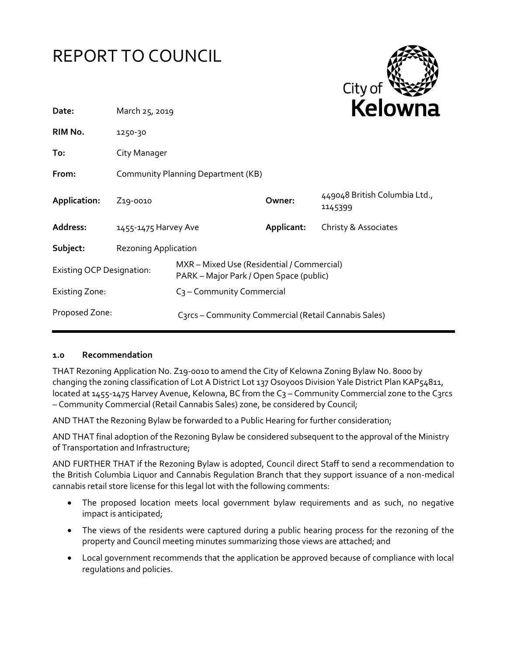



| Date:                            | March 25, 2019                     |                                                                                       |            | REIUWIId                                 |  |
|----------------------------------|------------------------------------|---------------------------------------------------------------------------------------|------------|------------------------------------------|--|
| RIM No.                          | 1250-30                            |                                                                                       |            |                                          |  |
| To:                              | City Manager                       |                                                                                       |            |                                          |  |
| From:                            | Community Planning Department (KB) |                                                                                       |            |                                          |  |
| Application:                     | Z <sub>19</sub> -0010              |                                                                                       | Owner:     | 449048 British Columbia Ltd.,<br>1145399 |  |
| Address:                         | 1455-1475 Harvey Ave               |                                                                                       | Applicant: | Christy & Associates                     |  |
| Subject:                         | <b>Rezoning Application</b>        |                                                                                       |            |                                          |  |
| <b>Existing OCP Designation:</b> |                                    | MXR - Mixed Use (Residential / Commercial)<br>PARK – Major Park / Open Space (public) |            |                                          |  |
| <b>Existing Zone:</b>            |                                    | C <sub>3</sub> – Community Commercial                                                 |            |                                          |  |
| Proposed Zone:                   |                                    | C3rcs - Community Commercial (Retail Cannabis Sales)                                  |            |                                          |  |

#### **1.0 Recommendation**

THAT Rezoning Application No. Z19-0010 to amend the City of Kelowna Zoning Bylaw No. 8000 by changing the zoning classification of Lot A District Lot 137 Osoyoos Division Yale District Plan KAP54811, located at 1455-1475 Harvey Avenue, Kelowna, BC from the C3 - Community Commercial zone to the C3rcs – Community Commercial (Retail Cannabis Sales) zone, be considered by Council;

AND THAT the Rezoning Bylaw be forwarded to a Public Hearing for further consideration;

AND THAT final adoption of the Rezoning Bylaw be considered subsequent to the approval of the Ministry of Transportation and Infrastructure;

AND FURTHER THAT if the Rezoning Bylaw is adopted, Council direct Staff to send a recommendation to the British Columbia Liquor and Cannabis Regulation Branch that they support issuance of a non-medical cannabis retail store license for this legal lot with the following comments:

- The proposed location meets local government bylaw requirements and as such, no negative impact is anticipated;
- The views of the residents were captured during a public hearing process for the rezoning of the property and Council meeting minutes summarizing those views are attached; and
- Local government recommends that the application be approved because of compliance with local regulations and policies.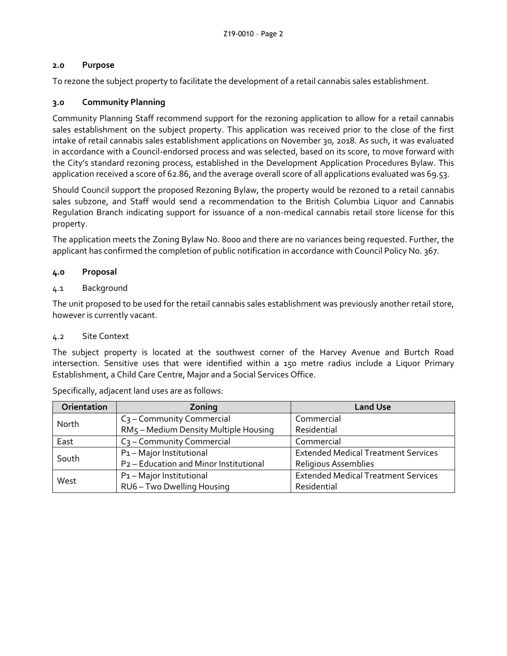# **2.0 Purpose**

To rezone the subject property to facilitate the development of a retail cannabis sales establishment.

# **3.0 Community Planning**

Community Planning Staff recommend support for the rezoning application to allow for a retail cannabis sales establishment on the subject property. This application was received prior to the close of the first intake of retail cannabis sales establishment applications on November 30, 2018. As such, it was evaluated in accordance with a Council-endorsed process and was selected, based on its score, to move forward with the City's standard rezoning process, established in the Development Application Procedures Bylaw. This application received a score of 62.86, and the average overall score of all applications evaluated was 69.53.

Should Council support the proposed Rezoning Bylaw, the property would be rezoned to a retail cannabis sales subzone, and Staff would send a recommendation to the British Columbia Liquor and Cannabis Regulation Branch indicating support for issuance of a non-medical cannabis retail store license for this property.

The application meets the Zoning Bylaw No. 8000 and there are no variances being requested. Further, the applicant has confirmed the completion of public notification in accordance with Council Policy No. 367.

## **4.0 Proposal**

## 4.1 Background

The unit proposed to be used for the retail cannabis sales establishment was previously another retail store, however is currently vacant.

#### 4.2 Site Context

The subject property is located at the southwest corner of the Harvey Avenue and Burtch Road intersection. Sensitive uses that were identified within a 150 metre radius include a Liquor Primary Establishment, a Child Care Centre, Major and a Social Services Office.

| Orientation | Zoning                                 | <b>Land Use</b>                            |
|-------------|----------------------------------------|--------------------------------------------|
| North       | $C_3$ – Community Commercial           | Commercial                                 |
|             | RM5 - Medium Density Multiple Housing  | Residential                                |
| East        | $C_3$ – Community Commercial           | Commercial                                 |
| South       | P1-Major Institutional                 | <b>Extended Medical Treatment Services</b> |
|             | P2 - Education and Minor Institutional | Religious Assemblies                       |
| West        | P1-Major Institutional                 | <b>Extended Medical Treatment Services</b> |
|             | RU6 - Two Dwelling Housing             | Residential                                |

Specifically, adjacent land uses are as follows: